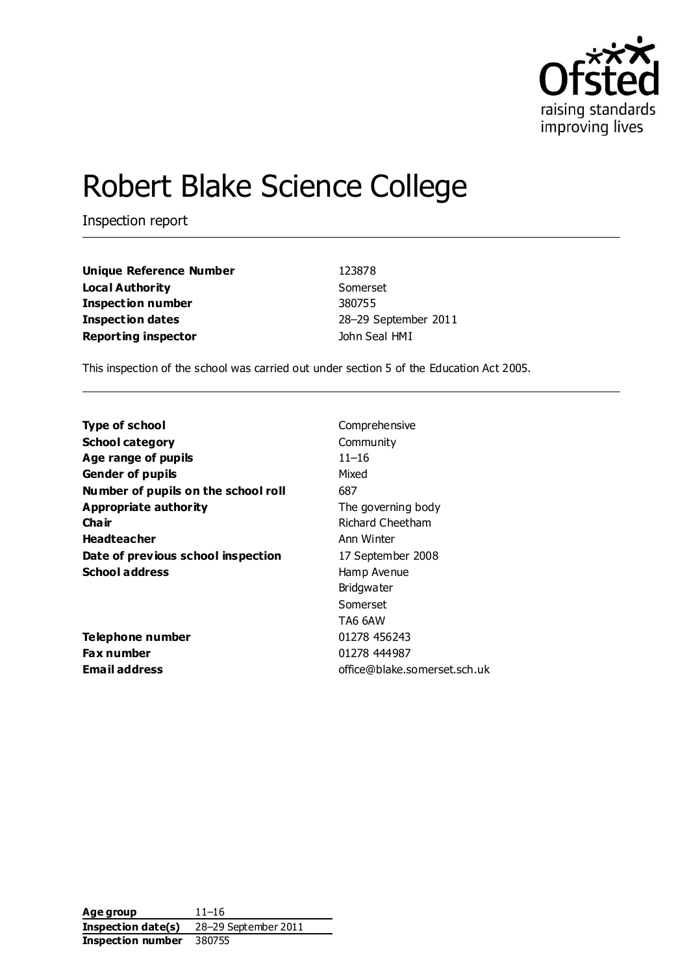

# Robert Blake Science College

Inspection report

**Unique Reference Number** 123878 **Local Authority** Somerset **Inspection number** 380755 **Inspection dates** 28–29 September 2011 **Reporting inspector Contract Contract Contract Contract Contract Contract Contract Contract Contract Contract Contract Contract Contract Contract Contract Contract Contract Contract Contract Contract Contract Contract C** 

This inspection of the school was carried out under section 5 of the Education Act 2005.

**Type of school** Comprehensive **School category** Community **Age range of pupils** 11–16 Gender of pupils **Gender of pupils** Mixed **Number of pupils on the school roll** 687 **Appropriate authority** The governing body **Chair** Richard Cheetham **Headteacher Ann Winter Ann Winter Date of previous school inspection** 17 September 2008 **School address** Hamp Avenue

**Telephone number** 01278 456243 **Fax number** 01278 444987

Bridgwater Somerset TA6 6AW **Email address** office@blake.somerset.sch.uk

**Age group** 11–16 **Inspection date(s)** 28–29 September 2011 **Inspection number** 380755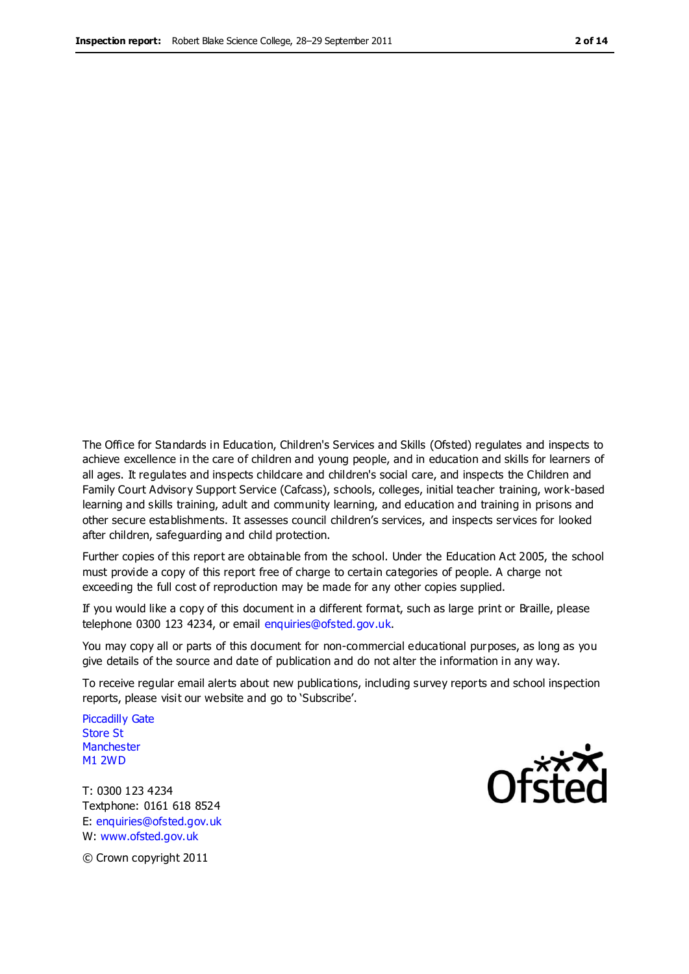The Office for Standards in Education, Children's Services and Skills (Ofsted) regulates and inspects to achieve excellence in the care of children and young people, and in education and skills for learners of all ages. It regulates and inspects childcare and children's social care, and inspects the Children and Family Court Advisory Support Service (Cafcass), schools, colleges, initial teacher training, work-based learning and skills training, adult and community learning, and education and training in prisons and other secure establishments. It assesses council children's services, and inspects services for looked after children, safeguarding and child protection.

Further copies of this report are obtainable from the school. Under the Education Act 2005, the school must provide a copy of this report free of charge to certain categories of people. A charge not exceeding the full cost of reproduction may be made for any other copies supplied.

If you would like a copy of this document in a different format, such as large print or Braille, please telephone 0300 123 4234, or email enquiries@ofsted.gov.uk.

You may copy all or parts of this document for non-commercial educational purposes, as long as you give details of the source and date of publication and do not alter the information in any way.

To receive regular email alerts about new publications, including survey reports and school inspection reports, please visit our website and go to 'Subscribe'.

Piccadilly Gate Store St **Manchester** M1 2WD

T: 0300 123 4234 Textphone: 0161 618 8524 E: enquiries@ofsted.gov.uk W: www.ofsted.gov.uk



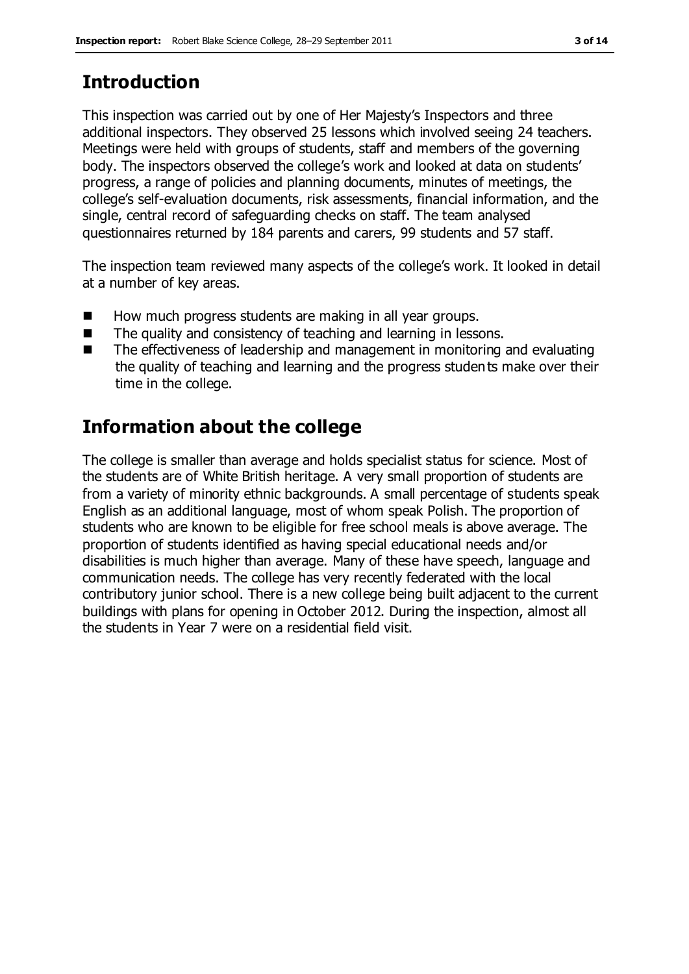# **Introduction**

This inspection was carried out by one of Her Majesty's Inspectors and three additional inspectors. They observed 25 lessons which involved seeing 24 teachers. Meetings were held with groups of students, staff and members of the governing body. The inspectors observed the college's work and looked at data on students' progress, a range of policies and planning documents, minutes of meetings, the college's self-evaluation documents, risk assessments, financial information, and the single, central record of safeguarding checks on staff. The team analysed questionnaires returned by 184 parents and carers, 99 students and 57 staff.

The inspection team reviewed many aspects of the college's work. It looked in detail at a number of key areas.

- How much progress students are making in all year groups.
- The quality and consistency of teaching and learning in lessons.
- The effectiveness of leadership and management in monitoring and evaluating the quality of teaching and learning and the progress students make over their time in the college.

# **Information about the college**

The college is smaller than average and holds specialist status for science. Most of the students are of White British heritage. A very small proportion of students are from a variety of minority ethnic backgrounds. A small percentage of students speak English as an additional language, most of whom speak Polish. The proportion of students who are known to be eligible for free school meals is above average. The proportion of students identified as having special educational needs and/or disabilities is much higher than average. Many of these have speech, language and communication needs. The college has very recently federated with the local contributory junior school. There is a new college being built adjacent to the current buildings with plans for opening in October 2012. During the inspection, almost all the students in Year 7 were on a residential field visit.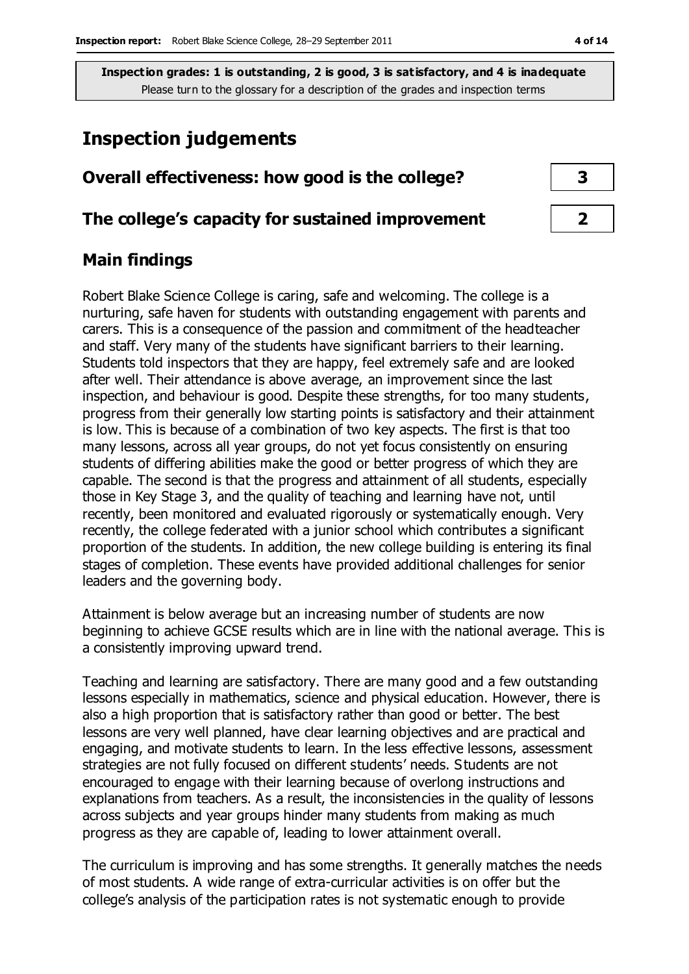# **Inspection judgements**

### **Overall effectiveness: how good is the college? 3**

#### **The college's capacity for sustained improvement 2**

### **Main findings**

Robert Blake Science College is caring, safe and welcoming. The college is a nurturing, safe haven for students with outstanding engagement with parents and carers. This is a consequence of the passion and commitment of the headteacher and staff. Very many of the students have significant barriers to their learning. Students told inspectors that they are happy, feel extremely safe and are looked after well. Their attendance is above average, an improvement since the last inspection, and behaviour is good. Despite these strengths, for too many students, progress from their generally low starting points is satisfactory and their attainment is low. This is because of a combination of two key aspects. The first is that too many lessons, across all year groups, do not yet focus consistently on ensuring students of differing abilities make the good or better progress of which they are capable. The second is that the progress and attainment of all students, especially those in Key Stage 3, and the quality of teaching and learning have not, until recently, been monitored and evaluated rigorously or systematically enough. Very recently, the college federated with a junior school which contributes a significant proportion of the students. In addition, the new college building is entering its final stages of completion. These events have provided additional challenges for senior leaders and the governing body.

Attainment is below average but an increasing number of students are now beginning to achieve GCSE results which are in line with the national average. This is a consistently improving upward trend.

Teaching and learning are satisfactory. There are many good and a few outstanding lessons especially in mathematics, science and physical education. However, there is also a high proportion that is satisfactory rather than good or better. The best lessons are very well planned, have clear learning objectives and are practical and engaging, and motivate students to learn. In the less effective lessons, assessment strategies are not fully focused on different students' needs. Students are not encouraged to engage with their learning because of overlong instructions and explanations from teachers. As a result, the inconsistencies in the quality of lessons across subjects and year groups hinder many students from making as much progress as they are capable of, leading to lower attainment overall.

The curriculum is improving and has some strengths. It generally matches the needs of most students. A wide range of extra-curricular activities is on offer but the college's analysis of the participation rates is not systematic enough to provide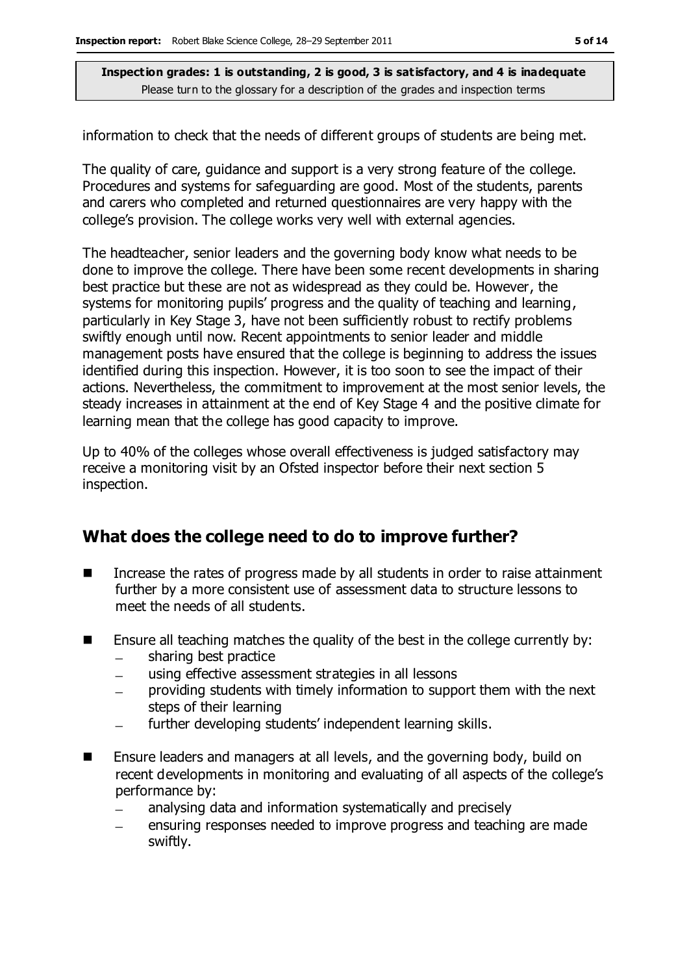information to check that the needs of different groups of students are being met.

The quality of care, guidance and support is a very strong feature of the college. Procedures and systems for safeguarding are good. Most of the students, parents and carers who completed and returned questionnaires are very happy with the college's provision. The college works very well with external agencies.

The headteacher, senior leaders and the governing body know what needs to be done to improve the college. There have been some recent developments in sharing best practice but these are not as widespread as they could be. However, the systems for monitoring pupils' progress and the quality of teaching and learning, particularly in Key Stage 3, have not been sufficiently robust to rectify problems swiftly enough until now. Recent appointments to senior leader and middle management posts have ensured that the college is beginning to address the issues identified during this inspection. However, it is too soon to see the impact of their actions. Nevertheless, the commitment to improvement at the most senior levels, the steady increases in attainment at the end of Key Stage 4 and the positive climate for learning mean that the college has good capacity to improve.

Up to 40% of the colleges whose overall effectiveness is judged satisfactory may receive a monitoring visit by an Ofsted inspector before their next section 5 inspection.

#### **What does the college need to do to improve further?**

- Increase the rates of progress made by all students in order to raise attainment further by a more consistent use of assessment data to structure lessons to meet the needs of all students.
- $\blacksquare$  Ensure all teaching matches the quality of the best in the college currently by:
	- sharing best practice  $\equiv$
	- using effective assessment strategies in all lessons
	- providing students with timely information to support them with the next  $\equiv$ steps of their learning
	- further developing students' independent learning skills.  $\frac{1}{2}$
- Ensure leaders and managers at all levels, and the governing body, build on recent developments in monitoring and evaluating of all aspects of the college's performance by:
	- analysing data and information systematically and precisely
	- ensuring responses needed to improve progress and teaching are made swiftly.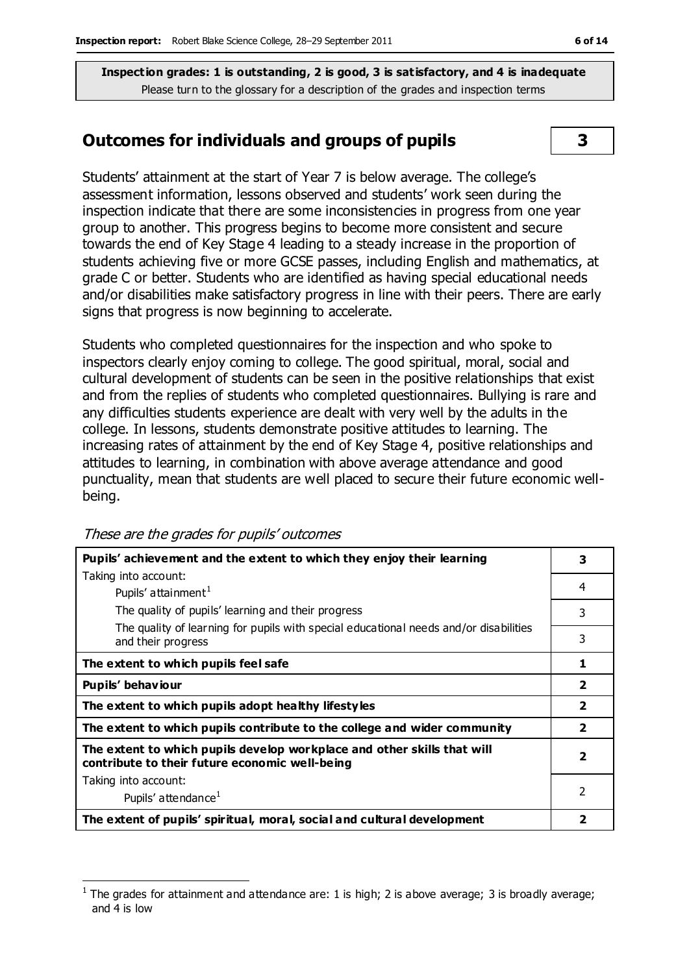### **Outcomes for individuals and groups of pupils 3**

Students' attainment at the start of Year 7 is below average. The college's assessment information, lessons observed and students' work seen during the inspection indicate that there are some inconsistencies in progress from one year group to another. This progress begins to become more consistent and secure towards the end of Key Stage 4 leading to a steady increase in the proportion of students achieving five or more GCSE passes, including English and mathematics, at grade C or better. Students who are identified as having special educational needs and/or disabilities make satisfactory progress in line with their peers. There are early signs that progress is now beginning to accelerate.

Students who completed questionnaires for the inspection and who spoke to inspectors clearly enjoy coming to college. The good spiritual, moral, social and cultural development of students can be seen in the positive relationships that exist and from the replies of students who completed questionnaires. Bullying is rare and any difficulties students experience are dealt with very well by the adults in the college. In lessons, students demonstrate positive attitudes to learning. The increasing rates of attainment by the end of Key Stage 4, positive relationships and attitudes to learning, in combination with above average attendance and good punctuality, mean that students are well placed to secure their future economic wellbeing.

| Pupils' achievement and the extent to which they enjoy their learning                                                     |   |  |  |
|---------------------------------------------------------------------------------------------------------------------------|---|--|--|
| Taking into account:                                                                                                      |   |  |  |
| Pupils' attainment <sup>1</sup>                                                                                           | 4 |  |  |
| The quality of pupils' learning and their progress                                                                        | 3 |  |  |
| The quality of learning for pupils with special educational needs and/or disabilities<br>and their progress               | 3 |  |  |
| The extent to which pupils feel safe                                                                                      | 1 |  |  |
| Pupils' behaviour                                                                                                         |   |  |  |
| The extent to which pupils adopt healthy lifestyles                                                                       |   |  |  |
| The extent to which pupils contribute to the college and wider community                                                  |   |  |  |
| The extent to which pupils develop workplace and other skills that will<br>contribute to their future economic well-being |   |  |  |
| Taking into account:                                                                                                      |   |  |  |
| Pupils' attendance <sup>1</sup>                                                                                           | 2 |  |  |
| The extent of pupils' spiritual, moral, social and cultural development                                                   |   |  |  |

These are the grades for pupils' outcomes

 $\overline{a}$ 1 The grades for attainment and attendance are: 1 is high; 2 is above average; 3 is broadly average; and 4 is low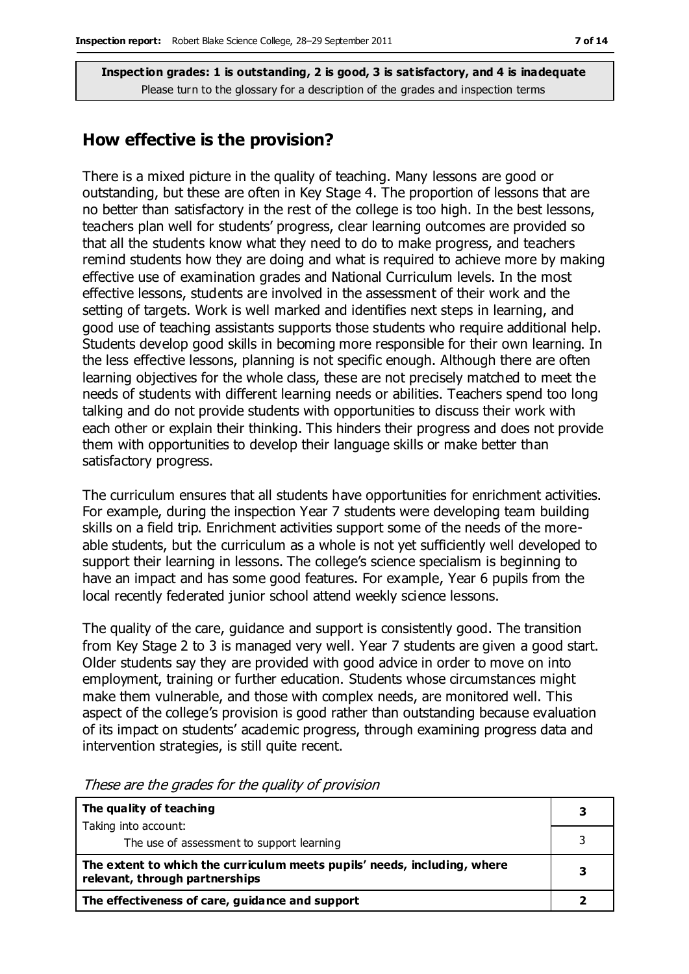#### **How effective is the provision?**

There is a mixed picture in the quality of teaching. Many lessons are good or outstanding, but these are often in Key Stage 4. The proportion of lessons that are no better than satisfactory in the rest of the college is too high. In the best lessons, teachers plan well for students' progress, clear learning outcomes are provided so that all the students know what they need to do to make progress, and teachers remind students how they are doing and what is required to achieve more by making effective use of examination grades and National Curriculum levels. In the most effective lessons, students are involved in the assessment of their work and the setting of targets. Work is well marked and identifies next steps in learning, and good use of teaching assistants supports those students who require additional help. Students develop good skills in becoming more responsible for their own learning. In the less effective lessons, planning is not specific enough. Although there are often learning objectives for the whole class, these are not precisely matched to meet the needs of students with different learning needs or abilities. Teachers spend too long talking and do not provide students with opportunities to discuss their work with each other or explain their thinking. This hinders their progress and does not provide them with opportunities to develop their language skills or make better than satisfactory progress.

The curriculum ensures that all students have opportunities for enrichment activities. For example, during the inspection Year 7 students were developing team building skills on a field trip. Enrichment activities support some of the needs of the moreable students, but the curriculum as a whole is not yet sufficiently well developed to support their learning in lessons. The college's science specialism is beginning to have an impact and has some good features. For example, Year 6 pupils from the local recently federated junior school attend weekly science lessons.

The quality of the care, guidance and support is consistently good. The transition from Key Stage 2 to 3 is managed very well. Year 7 students are given a good start. Older students say they are provided with good advice in order to move on into employment, training or further education. Students whose circumstances might make them vulnerable, and those with complex needs, are monitored well. This aspect of the college's provision is good rather than outstanding because evaluation of its impact on students' academic progress, through examining progress data and intervention strategies, is still quite recent.

| The quality of teaching                                                                                    |  |
|------------------------------------------------------------------------------------------------------------|--|
| Taking into account:                                                                                       |  |
| The use of assessment to support learning                                                                  |  |
| The extent to which the curriculum meets pupils' needs, including, where<br>relevant, through partnerships |  |
| The effectiveness of care, guidance and support                                                            |  |

These are the grades for the quality of provision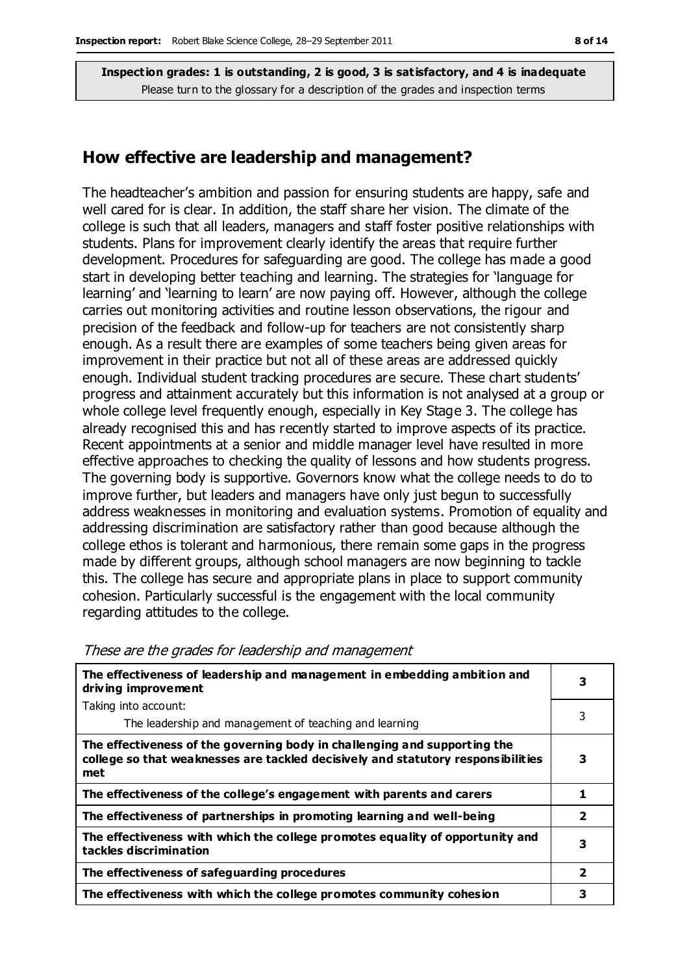#### **How effective are leadership and management?**

The headteacher's ambition and passion for ensuring students are happy, safe and well cared for is clear. In addition, the staff share her vision. The climate of the college is such that all leaders, managers and staff foster positive relationships with students. Plans for improvement clearly identify the areas that require further development. Procedures for safeguarding are good. The college has made a good start in developing better teaching and learning. The strategies for 'language for learning' and 'learning to learn' are now paying off. However, although the college carries out monitoring activities and routine lesson observations, the rigour and precision of the feedback and follow-up for teachers are not consistently sharp enough. As a result there are examples of some teachers being given areas for improvement in their practice but not all of these areas are addressed quickly enough. Individual student tracking procedures are secure. These chart students' progress and attainment accurately but this information is not analysed at a group or whole college level frequently enough, especially in Key Stage 3. The college has already recognised this and has recently started to improve aspects of its practice. Recent appointments at a senior and middle manager level have resulted in more effective approaches to checking the quality of lessons and how students progress. The governing body is supportive. Governors know what the college needs to do to improve further, but leaders and managers have only just begun to successfully address weaknesses in monitoring and evaluation systems. Promotion of equality and addressing discrimination are satisfactory rather than good because although the college ethos is tolerant and harmonious, there remain some gaps in the progress made by different groups, although school managers are now beginning to tackle this. The college has secure and appropriate plans in place to support community cohesion. Particularly successful is the engagement with the local community regarding attitudes to the college.

| The effectiveness of leadership and management in embedding ambition and<br>driving improvement                                                                      |                         |  |
|----------------------------------------------------------------------------------------------------------------------------------------------------------------------|-------------------------|--|
| Taking into account:                                                                                                                                                 |                         |  |
| The leadership and management of teaching and learning                                                                                                               | 3                       |  |
| The effectiveness of the governing body in challenging and supporting the<br>college so that weaknesses are tackled decisively and statutory responsibilities<br>met | 3                       |  |
| The effectiveness of the college's engagement with parents and carers                                                                                                | 1                       |  |
| The effectiveness of partnerships in promoting learning and well-being                                                                                               | $\overline{\mathbf{2}}$ |  |
| The effectiveness with which the college promotes equality of opportunity and<br>tackles discrimination                                                              |                         |  |
| The effectiveness of safeguarding procedures                                                                                                                         | $\overline{2}$          |  |
| The effectiveness with which the college promotes community cohesion                                                                                                 | З                       |  |

These are the grades for leadership and management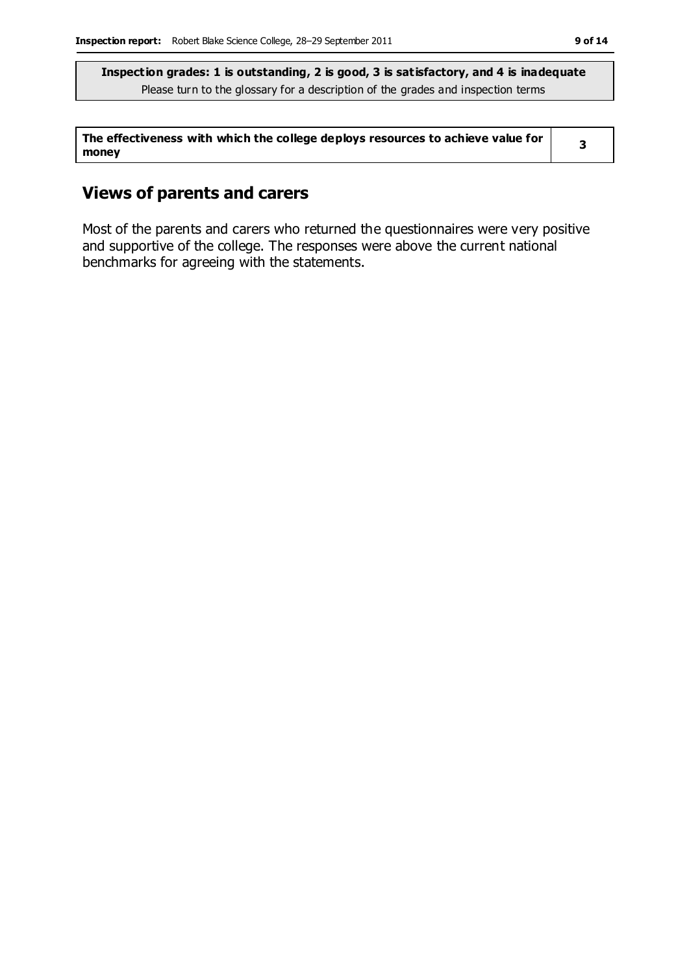| The effectiveness with which the college deploys resources to achieve value for |  |
|---------------------------------------------------------------------------------|--|
| money                                                                           |  |

### **Views of parents and carers**

Most of the parents and carers who returned the questionnaires were very positive and supportive of the college. The responses were above the current national benchmarks for agreeing with the statements.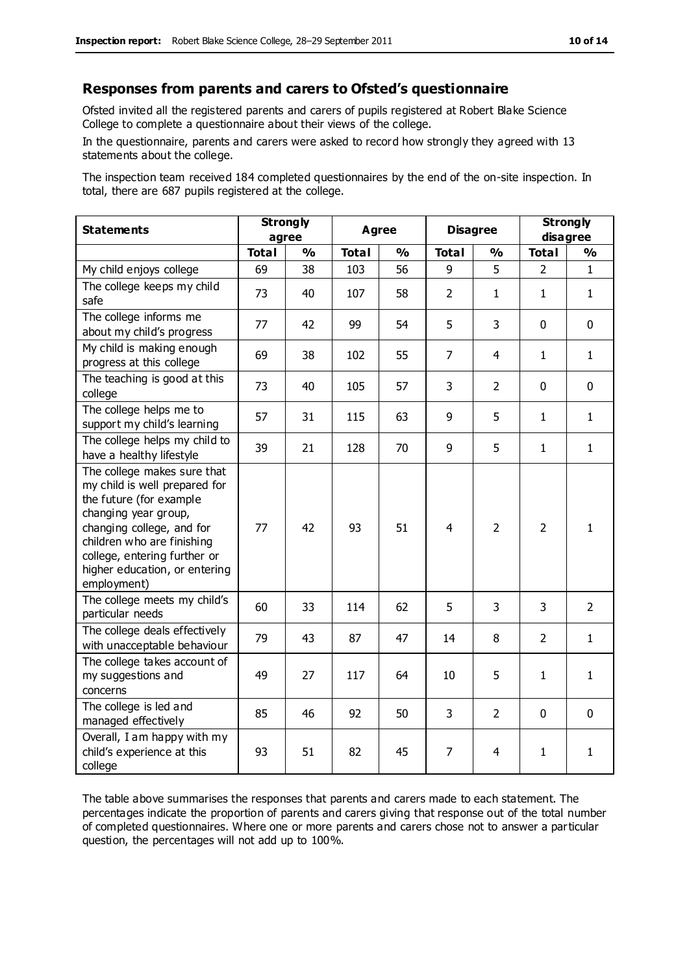#### **Responses from parents and carers to Ofsted's questionnaire**

Ofsted invited all the registered parents and carers of pupils registered at Robert Blake Science College to complete a questionnaire about their views of the college.

In the questionnaire, parents and carers were asked to record how strongly they agreed with 13 statements about the college.

The inspection team received 184 completed questionnaires by the end of the on-site inspection. In total, there are 687 pupils registered at the college.

| <b>Statements</b>                                                                                                                                                                                                                                          | <b>Strongly</b><br>agree |               | <b>Agree</b> |               |                | <b>Disagree</b> |                | <b>Strongly</b><br>disagree |  |
|------------------------------------------------------------------------------------------------------------------------------------------------------------------------------------------------------------------------------------------------------------|--------------------------|---------------|--------------|---------------|----------------|-----------------|----------------|-----------------------------|--|
|                                                                                                                                                                                                                                                            | <b>Total</b>             | $\frac{1}{2}$ | <b>Total</b> | $\frac{1}{2}$ | <b>Total</b>   | $\frac{1}{2}$   | <b>Total</b>   | $\frac{1}{2}$               |  |
| My child enjoys college                                                                                                                                                                                                                                    | 69                       | 38            | 103          | 56            | 9              | 5               | $\overline{2}$ | $\mathbf{1}$                |  |
| The college keeps my child<br>safe                                                                                                                                                                                                                         | 73                       | 40            | 107          | 58            | $\overline{2}$ | 1               | $\mathbf{1}$   | $\mathbf{1}$                |  |
| The college informs me<br>about my child's progress                                                                                                                                                                                                        | 77                       | 42            | 99           | 54            | 5              | 3               | $\mathbf 0$    | $\mathbf 0$                 |  |
| My child is making enough<br>progress at this college                                                                                                                                                                                                      | 69                       | 38            | 102          | 55            | $\overline{7}$ | 4               | $\mathbf{1}$   | $\mathbf{1}$                |  |
| The teaching is good at this<br>college                                                                                                                                                                                                                    | 73                       | 40            | 105          | 57            | 3              | $\overline{2}$  | $\mathbf 0$    | $\mathbf 0$                 |  |
| The college helps me to<br>support my child's learning                                                                                                                                                                                                     | 57                       | 31            | 115          | 63            | 9              | 5               | $\mathbf{1}$   | $\mathbf{1}$                |  |
| The college helps my child to<br>have a healthy lifestyle                                                                                                                                                                                                  | 39                       | 21            | 128          | 70            | 9              | 5               | $\mathbf{1}$   | $\mathbf{1}$                |  |
| The college makes sure that<br>my child is well prepared for<br>the future (for example<br>changing year group,<br>changing college, and for<br>children who are finishing<br>college, entering further or<br>higher education, or entering<br>employment) | 77                       | 42            | 93           | 51            | $\overline{4}$ | $\overline{2}$  | $\overline{2}$ | $\mathbf{1}$                |  |
| The college meets my child's<br>particular needs                                                                                                                                                                                                           | 60                       | 33            | 114          | 62            | 5              | 3               | 3              | $\overline{2}$              |  |
| The college deals effectively<br>with unacceptable behaviour                                                                                                                                                                                               | 79                       | 43            | 87           | 47            | 14             | 8               | $\overline{2}$ | $\mathbf{1}$                |  |
| The college takes account of<br>my suggestions and<br>concerns                                                                                                                                                                                             | 49                       | 27            | 117          | 64            | 10             | 5               | $\mathbf{1}$   | $\mathbf{1}$                |  |
| The college is led and<br>managed effectively                                                                                                                                                                                                              | 85                       | 46            | 92           | 50            | 3              | $\overline{2}$  | $\mathbf 0$    | $\mathbf 0$                 |  |
| Overall, I am happy with my<br>child's experience at this<br>college                                                                                                                                                                                       | 93                       | 51            | 82           | 45            | 7              | 4               | $\mathbf{1}$   | $\mathbf{1}$                |  |

The table above summarises the responses that parents and carers made to each statement. The percentages indicate the proportion of parents and carers giving that response out of the total number of completed questionnaires. Where one or more parents and carers chose not to answer a particular question, the percentages will not add up to 100%.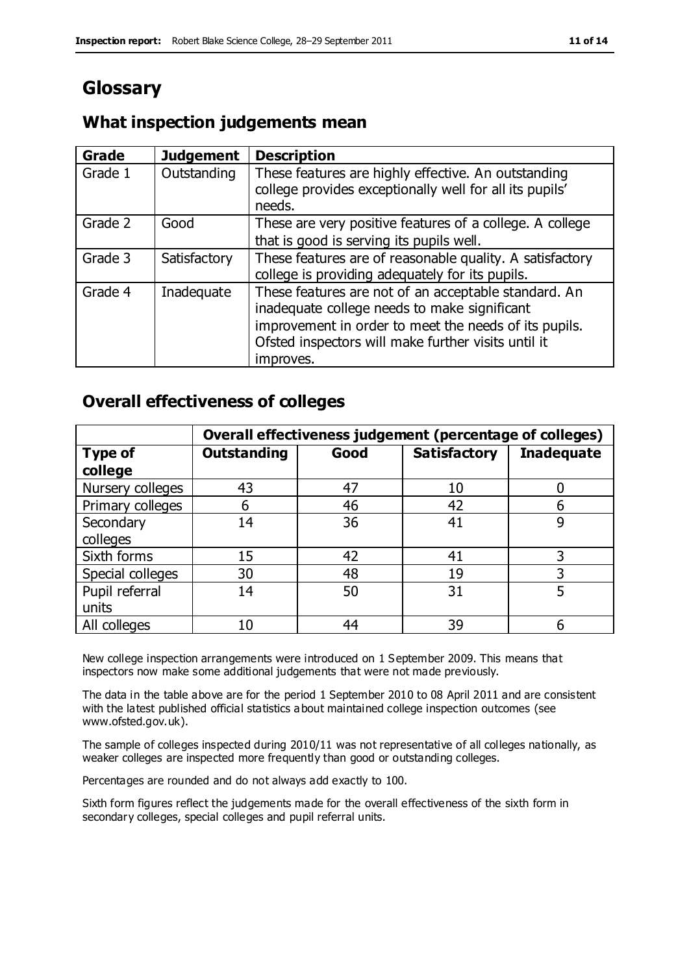# **Glossary**

#### **What inspection judgements mean**

| <b>Grade</b> | <b>Judgement</b> | <b>Description</b>                                                |
|--------------|------------------|-------------------------------------------------------------------|
| Grade 1      | Outstanding      | These features are highly effective. An outstanding               |
|              |                  | college provides exceptionally well for all its pupils'<br>needs. |
| Grade 2      | Good             | These are very positive features of a college. A college          |
|              |                  | that is good is serving its pupils well.                          |
| Grade 3      | Satisfactory     | These features are of reasonable quality. A satisfactory          |
|              |                  | college is providing adequately for its pupils.                   |
| Grade 4      | Inadequate       | These features are not of an acceptable standard. An              |
|              |                  | inadequate college needs to make significant                      |
|              |                  | improvement in order to meet the needs of its pupils.             |
|              |                  | Ofsted inspectors will make further visits until it               |
|              |                  | improves.                                                         |

## **Overall effectiveness of colleges**

|                  | Overall effectiveness judgement (percentage of colleges) |      |                     |                   |
|------------------|----------------------------------------------------------|------|---------------------|-------------------|
| <b>Type of</b>   | <b>Outstanding</b>                                       | Good | <b>Satisfactory</b> | <b>Inadequate</b> |
| college          |                                                          |      |                     |                   |
| Nursery colleges | 43                                                       | 47   | 10                  |                   |
| Primary colleges | 6                                                        | 46   | 42                  | b                 |
| Secondary        | 14                                                       | 36   | 41                  | 9                 |
| colleges         |                                                          |      |                     |                   |
| Sixth forms      | 15                                                       | 42   | 41                  |                   |
| Special colleges | 30                                                       | 48   | 19                  | 3                 |
| Pupil referral   | 14                                                       | 50   | 31                  |                   |
| units            |                                                          |      |                     |                   |
| All colleges     | 10                                                       | 44   | 39                  |                   |

New college inspection arrangements were introduced on 1 September 2009. This means that inspectors now make some additional judgements that were not made previously.

The data in the table above are for the period 1 September 2010 to 08 April 2011 and are consistent with the latest published official statistics about maintained college inspection outcomes (see www.ofsted.gov.uk).

The sample of colleges inspected during 2010/11 was not representative of all colleges nationally, as weaker colleges are inspected more frequently than good or outstanding colleges.

Percentages are rounded and do not always add exactly to 100.

Sixth form figures reflect the judgements made for the overall effectiveness of the sixth form in secondary colleges, special colleges and pupil referral units.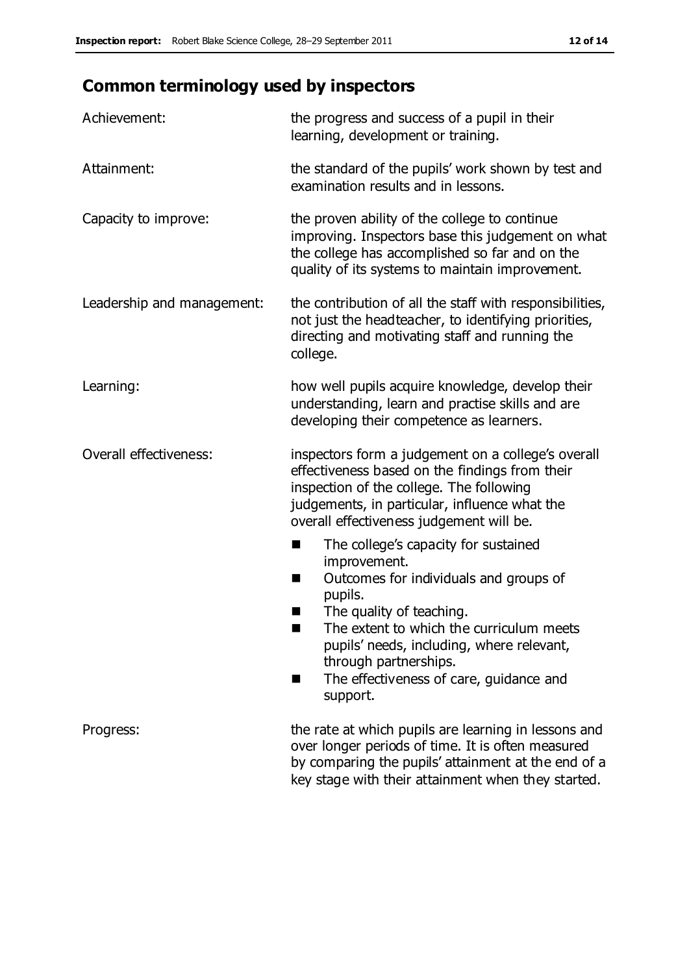# **Common terminology used by inspectors**

| Achievement:                  | the progress and success of a pupil in their<br>learning, development or training.                                                                                                                                                                                                                                                      |
|-------------------------------|-----------------------------------------------------------------------------------------------------------------------------------------------------------------------------------------------------------------------------------------------------------------------------------------------------------------------------------------|
| Attainment:                   | the standard of the pupils' work shown by test and<br>examination results and in lessons.                                                                                                                                                                                                                                               |
| Capacity to improve:          | the proven ability of the college to continue<br>improving. Inspectors base this judgement on what<br>the college has accomplished so far and on the<br>quality of its systems to maintain improvement.                                                                                                                                 |
| Leadership and management:    | the contribution of all the staff with responsibilities,<br>not just the headteacher, to identifying priorities,<br>directing and motivating staff and running the<br>college.                                                                                                                                                          |
| Learning:                     | how well pupils acquire knowledge, develop their<br>understanding, learn and practise skills and are<br>developing their competence as learners.                                                                                                                                                                                        |
| <b>Overall effectiveness:</b> | inspectors form a judgement on a college's overall<br>effectiveness based on the findings from their<br>inspection of the college. The following<br>judgements, in particular, influence what the<br>overall effectiveness judgement will be.                                                                                           |
|                               | The college's capacity for sustained<br>٠<br>improvement.<br>Outcomes for individuals and groups of<br>ш<br>pupils.<br>The quality of teaching.<br>ш<br>The extent to which the curriculum meets<br>■<br>pupils' needs, including, where relevant,<br>through partnerships.<br>The effectiveness of care, guidance and<br>ш<br>support. |
| Progress:                     | the rate at which pupils are learning in lessons and<br>over longer periods of time. It is often measured<br>by comparing the pupils' attainment at the end of a<br>key stage with their attainment when they started.                                                                                                                  |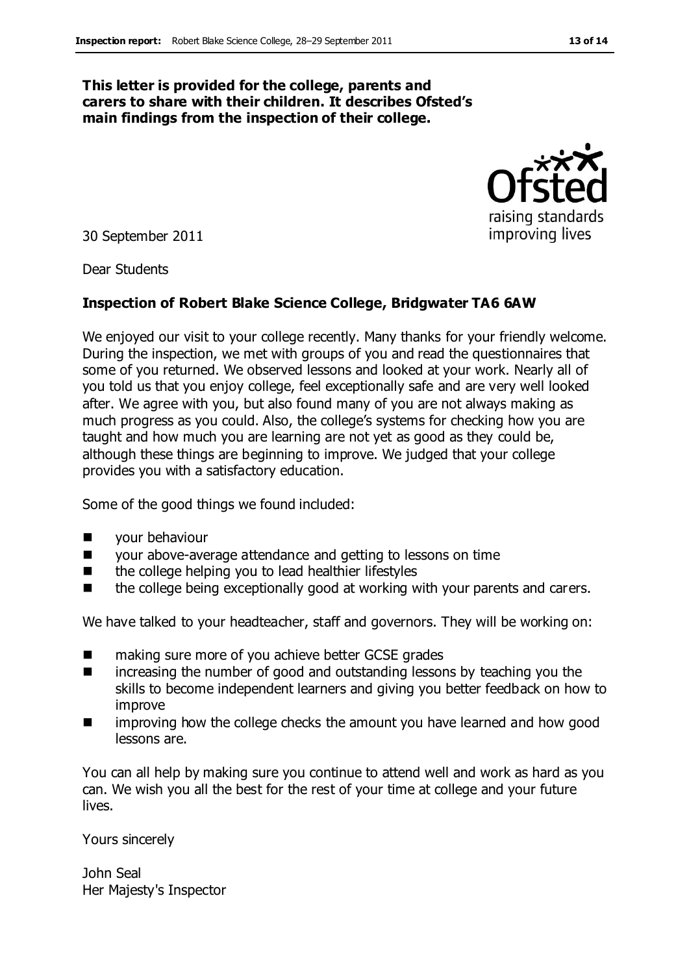#### **This letter is provided for the college, parents and carers to share with their children. It describes Ofsted's main findings from the inspection of their college.**

30 September 2011

Dear Students

#### **Inspection of Robert Blake Science College, Bridgwater TA6 6AW**

We enjoyed our visit to your college recently. Many thanks for your friendly welcome. During the inspection, we met with groups of you and read the questionnaires that some of you returned. We observed lessons and looked at your work. Nearly all of you told us that you enjoy college, feel exceptionally safe and are very well looked after. We agree with you, but also found many of you are not always making as much progress as you could. Also, the college's systems for checking how you are taught and how much you are learning are not yet as good as they could be, although these things are beginning to improve. We judged that your college provides you with a satisfactory education.

Some of the good things we found included:

- **Neta** your behaviour
- your above-average attendance and getting to lessons on time
- the college helping you to lead healthier lifestyles
- the college being exceptionally good at working with your parents and carers.

We have talked to your headteacher, staff and governors. They will be working on:

- making sure more of you achieve better GCSE grades
- **n** increasing the number of good and outstanding lessons by teaching you the skills to become independent learners and giving you better feedback on how to improve
- improving how the college checks the amount you have learned and how good lessons are.

You can all help by making sure you continue to attend well and work as hard as you can. We wish you all the best for the rest of your time at college and your future lives.

Yours sincerely

John Seal Her Majesty's Inspector